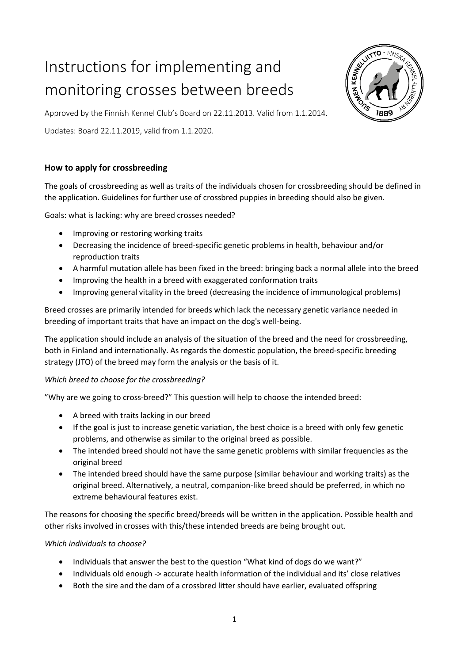# Instructions for implementing and monitoring crosses between breeds



Approved by the Finnish Kennel Club's Board on 22.11.2013. Valid from 1.1.2014.

Updates: Board 22.11.2019, valid from 1.1.2020.

## **How to apply for crossbreeding**

The goals of crossbreeding as well as traits of the individuals chosen for crossbreeding should be defined in the application. Guidelines for further use of crossbred puppies in breeding should also be given.

Goals: what is lacking: why are breed crosses needed?

- Improving or restoring working traits
- Decreasing the incidence of breed-specific genetic problems in health, behaviour and/or reproduction traits
- A harmful mutation allele has been fixed in the breed: bringing back a normal allele into the breed
- Improving the health in a breed with exaggerated conformation traits
- Improving general vitality in the breed (decreasing the incidence of immunological problems)

Breed crosses are primarily intended for breeds which lack the necessary genetic variance needed in breeding of important traits that have an impact on the dog's well-being.

The application should include an analysis of the situation of the breed and the need for crossbreeding, both in Finland and internationally. As regards the domestic population, the breed-specific breeding strategy (JTO) of the breed may form the analysis or the basis of it.

## *Which breed to choose for the crossbreeding?*

"Why are we going to cross-breed?" This question will help to choose the intended breed:

- A breed with traits lacking in our breed
- If the goal is just to increase genetic variation, the best choice is a breed with only few genetic problems, and otherwise as similar to the original breed as possible.
- The intended breed should not have the same genetic problems with similar frequencies as the original breed
- The intended breed should have the same purpose (similar behaviour and working traits) as the original breed. Alternatively, a neutral, companion-like breed should be preferred, in which no extreme behavioural features exist.

The reasons for choosing the specific breed/breeds will be written in the application. Possible health and other risks involved in crosses with this/these intended breeds are being brought out.

## *Which individuals to choose?*

- Individuals that answer the best to the question "What kind of dogs do we want?"
- Individuals old enough -> accurate health information of the individual and its' close relatives
- Both the sire and the dam of a crossbred litter should have earlier, evaluated offspring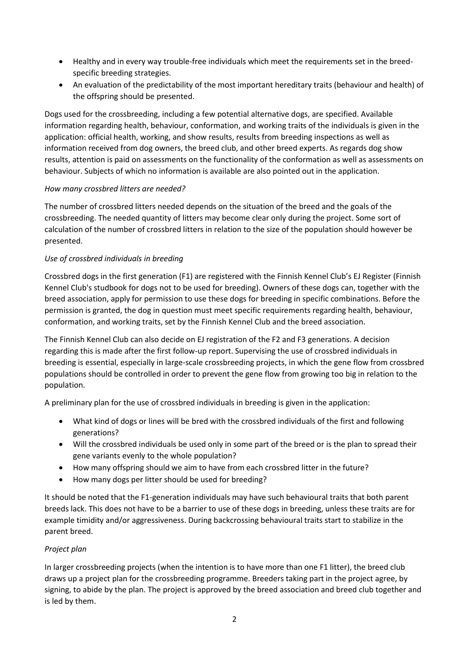- Healthy and in every way trouble-free individuals which meet the requirements set in the breedspecific breeding strategies.
- An evaluation of the predictability of the most important hereditary traits (behaviour and health) of the offspring should be presented.

Dogs used for the crossbreeding, including a few potential alternative dogs, are specified. Available information regarding health, behaviour, conformation, and working traits of the individuals is given in the application: official health, working, and show results, results from breeding inspections as well as information received from dog owners, the breed club, and other breed experts. As regards dog show results, attention is paid on assessments on the functionality of the conformation as well as assessments on behaviour. Subjects of which no information is available are also pointed out in the application.

## *How many crossbred litters are needed?*

The number of crossbred litters needed depends on the situation of the breed and the goals of the crossbreeding. The needed quantity of litters may become clear only during the project. Some sort of calculation of the number of crossbred litters in relation to the size of the population should however be presented.

## *Use of crossbred individuals in breeding*

Crossbred dogs in the first generation (F1) are registered with the Finnish Kennel Club's EJ Register (Finnish Kennel Club's studbook for dogs not to be used for breeding). Owners of these dogs can, together with the breed association, apply for permission to use these dogs for breeding in specific combinations. Before the permission is granted, the dog in question must meet specific requirements regarding health, behaviour, conformation, and working traits, set by the Finnish Kennel Club and the breed association.

The Finnish Kennel Club can also decide on EJ registration of the F2 and F3 generations. A decision regarding this is made after the first follow-up report. Supervising the use of crossbred individuals in breeding is essential, especially in large-scale crossbreeding projects, in which the gene flow from crossbred populations should be controlled in order to prevent the gene flow from growing too big in relation to the population.

A preliminary plan for the use of crossbred individuals in breeding is given in the application:

- What kind of dogs or lines will be bred with the crossbred individuals of the first and following generations?
- Will the crossbred individuals be used only in some part of the breed or is the plan to spread their gene variants evenly to the whole population?
- How many offspring should we aim to have from each crossbred litter in the future?
- How many dogs per litter should be used for breeding?

It should be noted that the F1-generation individuals may have such behavioural traits that both parent breeds lack. This does not have to be a barrier to use of these dogs in breeding, unless these traits are for example timidity and/or aggressiveness. During backcrossing behavioural traits start to stabilize in the parent breed.

## *Project plan*

In larger crossbreeding projects (when the intention is to have more than one F1 litter), the breed club draws up a project plan for the crossbreeding programme. Breeders taking part in the project agree, by signing, to abide by the plan. The project is approved by the breed association and breed club together and is led by them.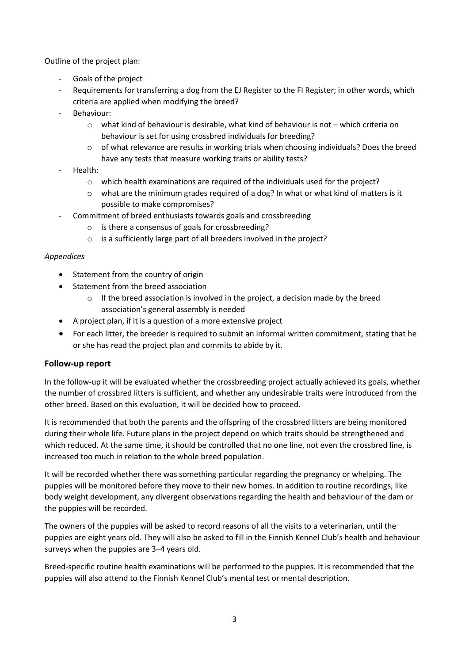Outline of the project plan:

- Goals of the project
- Requirements for transferring a dog from the EJ Register to the FI Register; in other words, which criteria are applied when modifying the breed?
- Behaviour:
	- o what kind of behaviour is desirable, what kind of behaviour is not which criteria on behaviour is set for using crossbred individuals for breeding?
	- $\circ$  of what relevance are results in working trials when choosing individuals? Does the breed have any tests that measure working traits or ability tests?
- Health:
	- o which health examinations are required of the individuals used for the project?
	- o what are the minimum grades required of a dog? In what or what kind of matters is it possible to make compromises?
- Commitment of breed enthusiasts towards goals and crossbreeding
	- o is there a consensus of goals for crossbreeding?
	- $\circ$  is a sufficiently large part of all breeders involved in the project?

#### *Appendices*

- Statement from the country of origin
- Statement from the breed association
	- $\circ$  If the breed association is involved in the project, a decision made by the breed association's general assembly is needed
- A project plan, if it is a question of a more extensive project
- For each litter, the breeder is required to submit an informal written commitment, stating that he or she has read the project plan and commits to abide by it.

## **Follow-up report**

In the follow-up it will be evaluated whether the crossbreeding project actually achieved its goals, whether the number of crossbred litters is sufficient, and whether any undesirable traits were introduced from the other breed. Based on this evaluation, it will be decided how to proceed.

It is recommended that both the parents and the offspring of the crossbred litters are being monitored during their whole life. Future plans in the project depend on which traits should be strengthened and which reduced. At the same time, it should be controlled that no one line, not even the crossbred line, is increased too much in relation to the whole breed population.

It will be recorded whether there was something particular regarding the pregnancy or whelping. The puppies will be monitored before they move to their new homes. In addition to routine recordings, like body weight development, any divergent observations regarding the health and behaviour of the dam or the puppies will be recorded.

The owners of the puppies will be asked to record reasons of all the visits to a veterinarian, until the puppies are eight years old. They will also be asked to fill in the Finnish Kennel Club's health and behaviour surveys when the puppies are 3–4 years old.

Breed-specific routine health examinations will be performed to the puppies. It is recommended that the puppies will also attend to the Finnish Kennel Club's mental test or mental description.